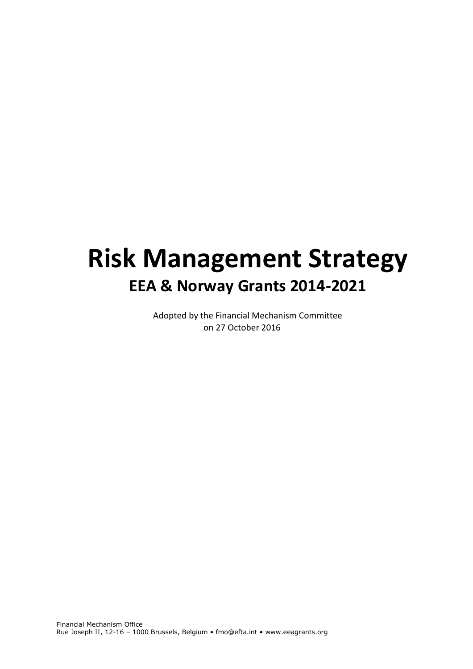# **Risk Management Strategy EEA & Norway Grants 2014-2021**

Adopted by the Financial Mechanism Committee on 27 October 2016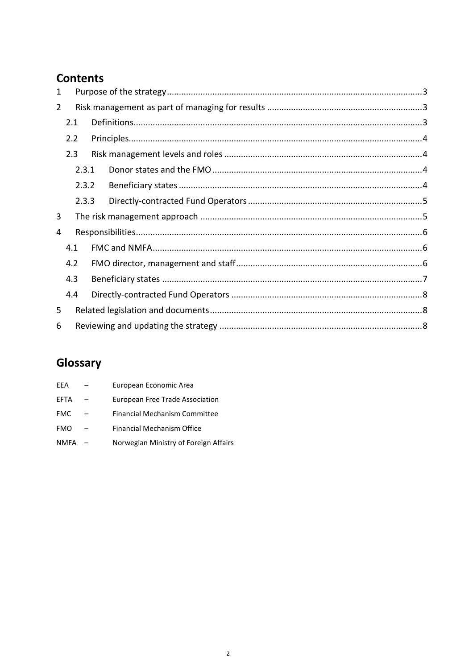# **Contents**

| 1          |       |  |  |  |  |
|------------|-------|--|--|--|--|
| 2          |       |  |  |  |  |
|            | 2.1   |  |  |  |  |
|            | 2.2   |  |  |  |  |
|            | 2.3   |  |  |  |  |
|            | 2.3.1 |  |  |  |  |
|            | 2.3.2 |  |  |  |  |
|            | 2.3.3 |  |  |  |  |
| 3          |       |  |  |  |  |
| 4          |       |  |  |  |  |
|            | 4.1   |  |  |  |  |
| 4.2<br>4.3 |       |  |  |  |  |
|            |       |  |  |  |  |
|            | 4.4   |  |  |  |  |
| 5          |       |  |  |  |  |
| 6          |       |  |  |  |  |
|            |       |  |  |  |  |

# Glossary

| FFA         | European Economic Area                |
|-------------|---------------------------------------|
| EFTA        | European Free Trade Association       |
| <b>FMC</b>  | Financial Mechanism Committee         |
| <b>FMO</b>  | Financial Mechanism Office            |
| <b>NMFA</b> | Norwegian Ministry of Foreign Affairs |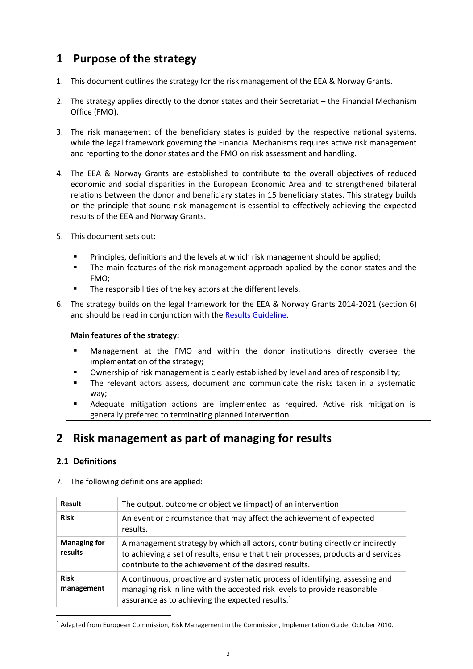# <span id="page-2-0"></span>**1 Purpose of the strategy**

- 1. This document outlines the strategy for the risk management of the EEA & Norway Grants.
- 2. The strategy applies directly to the donor states and their Secretariat the Financial Mechanism Office (FMO).
- <span id="page-2-3"></span>3. The risk management of the beneficiary states is guided by the respective national systems, while the legal framework governing the Financial Mechanisms requires active risk management and reporting to the donor states and the FMO on risk assessment and handling.
- 4. The EEA & Norway Grants are established to contribute to the overall objectives of reduced economic and social disparities in the European Economic Area and to strengthened bilateral relations between the donor and beneficiary states in 15 beneficiary states. This strategy builds on the principle that sound risk management is essential to effectively achieving the expected results of the EEA and Norway Grants.
- 5. This document sets out:
	- Principles, definitions and the levels at which risk management should be applied;
	- The main features of the risk management approach applied by the donor states and the FMO;
	- The responsibilities of the key actors at the different levels.
- 6. The strategy builds on the legal framework for the EEA & Norway Grants 2014-2021 (section 6) and should be read in conjunction with the [Results Guideline.](http://eeagrants.org/Results-data/Documents/Legal-documents/Guidelines-mandates-and-strategy/EEA-and-Norway-Grants-2014-2021/Results-Guideline2)

#### **Main features of the strategy:**

- Management at the FMO and within the donor institutions directly oversee the implementation of the strategy;
- Ownership of risk management is clearly established by level and area of responsibility;
- The relevant actors assess, document and communicate the risks taken in a systematic way;
- Adequate mitigation actions are implemented as required. Active risk mitigation is generally preferred to terminating planned intervention.

## <span id="page-2-1"></span>**2 Risk management as part of managing for results**

#### <span id="page-2-2"></span>**2.1 Definitions**

-

| Result                         | The output, outcome or objective (impact) of an intervention.                                                                                                                                                                |
|--------------------------------|------------------------------------------------------------------------------------------------------------------------------------------------------------------------------------------------------------------------------|
| <b>Risk</b>                    | An event or circumstance that may affect the achievement of expected<br>results.                                                                                                                                             |
| <b>Managing for</b><br>results | A management strategy by which all actors, contributing directly or indirectly<br>to achieving a set of results, ensure that their processes, products and services<br>contribute to the achievement of the desired results. |
| <b>Risk</b><br>management      | A continuous, proactive and systematic process of identifying, assessing and<br>managing risk in line with the accepted risk levels to provide reasonable<br>assurance as to achieving the expected results. <sup>1</sup>    |

7. The following definitions are applied:

<sup>1</sup> Adapted from European Commission, Risk Management in the Commission, Implementation Guide, October 2010.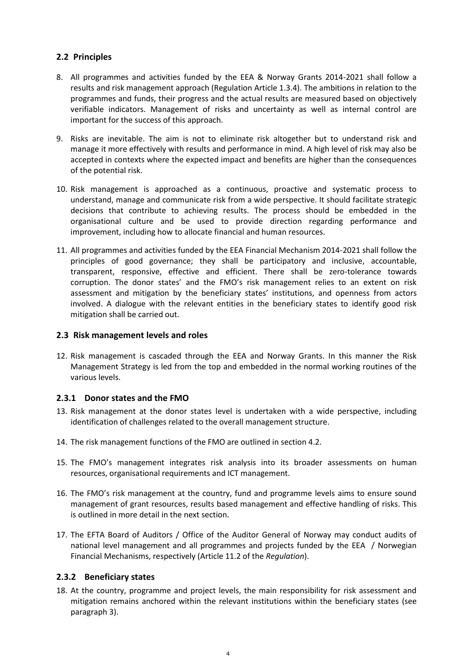#### <span id="page-3-0"></span>**2.2 Principles**

- 8. All programmes and activities funded by the EEA & Norway Grants 2014-2021 shall follow a results and risk management approach (Regulation Article 1.3.4). The ambitions in relation to the programmes and funds, their progress and the actual results are measured based on objectively verifiable indicators. Management of risks and uncertainty as well as internal control are important for the success of this approach.
- 9. Risks are inevitable. The aim is not to eliminate risk altogether but to understand risk and manage it more effectively with results and performance in mind. A high level of risk may also be accepted in contexts where the expected impact and benefits are higher than the consequences of the potential risk.
- 10. Risk management is approached as a continuous, proactive and systematic process to understand, manage and communicate risk from a wide perspective. It should facilitate strategic decisions that contribute to achieving results. The process should be embedded in the organisational culture and be used to provide direction regarding performance and improvement, including how to allocate financial and human resources.
- 11. All programmes and activities funded by the EEA Financial Mechanism 2014-2021 shall follow the principles of good governance; they shall be participatory and inclusive, accountable, transparent, responsive, effective and efficient. There shall be zero-tolerance towards corruption. The donor states' and the FMO's risk management relies to an extent on risk assessment and mitigation by the beneficiary states' institutions, and openness from actors involved. A dialogue with the relevant entities in the beneficiary states to identify good risk mitigation shall be carried out.

#### <span id="page-3-1"></span>**2.3 Risk management levels and roles**

12. Risk management is cascaded through the EEA and Norway Grants. In this manner the Risk Management Strategy is led from the top and embedded in the normal working routines of the various levels.

#### <span id="page-3-2"></span>**2.3.1 Donor states and the FMO**

- 13. Risk management at the donor states level is undertaken with a wide perspective, including identification of challenges related to the overall management structure.
- 14. The risk management functions of the FMO are outlined in section 4.2.
- 15. The FMO's management integrates risk analysis into its broader assessments on human resources, organisational requirements and ICT management.
- 16. The FMO's risk management at the country, fund and programme levels aims to ensure sound management of grant resources, results based management and effective handling of risks. This is outlined in more detail in the next section.
- 17. The EFTA Board of Auditors / Office of the Auditor General of Norway may conduct audits of national level management and all programmes and projects funded by the EEA / Norwegian Financial Mechanisms, respectively (Article 11.2 of the *Regulation*).

#### <span id="page-3-3"></span>**2.3.2 Beneficiary states**

18. At the country, programme and project levels, the main responsibility for risk assessment and mitigation remains anchored within the relevant institutions within the beneficiary states (see paragraph [3\)](#page-2-3).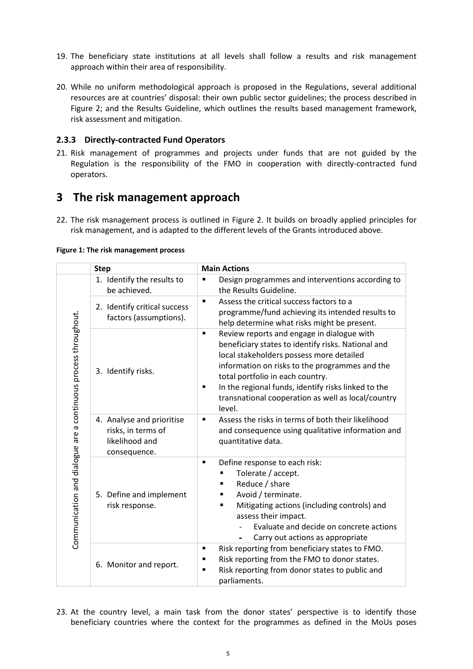- 19. The beneficiary state institutions at all levels shall follow a results and risk management approach within their area of responsibility.
- 20. While no uniform methodological approach is proposed in the Regulations, several additional resources are at countries' disposal: their own public sector guidelines; the process described in Figure 2; and the Results Guideline, which outlines the results based management framework, risk assessment and mitigation.

#### <span id="page-4-0"></span>**2.3.3 Directly-contracted Fund Operators**

21. Risk management of programmes and projects under funds that are not guided by the Regulation is the responsibility of the FMO in cooperation with directly-contracted fund operators.

### <span id="page-4-1"></span>**3 The risk management approach**

22. The risk management process is outlined in Figure 2. It builds on broadly applied principles for risk management, and is adapted to the different levels of the Grants introduced above.

| Figure 1: The risk management process |  |  |  |  |  |  |
|---------------------------------------|--|--|--|--|--|--|
|---------------------------------------|--|--|--|--|--|--|

|                                                                 | <b>Step</b>                                                                       | <b>Main Actions</b>                                                                                                                                                                                                                                                                                                                                                              |  |  |
|-----------------------------------------------------------------|-----------------------------------------------------------------------------------|----------------------------------------------------------------------------------------------------------------------------------------------------------------------------------------------------------------------------------------------------------------------------------------------------------------------------------------------------------------------------------|--|--|
|                                                                 | 1. Identify the results to                                                        | Design programmes and interventions according to<br>Е                                                                                                                                                                                                                                                                                                                            |  |  |
|                                                                 | be achieved.<br>2. Identify critical success<br>factors (assumptions).            | the Results Guideline.<br>Assess the critical success factors to a<br>$\blacksquare$<br>programme/fund achieving its intended results to<br>help determine what risks might be present.                                                                                                                                                                                          |  |  |
| Communication and dialogue are a continuous process throughout. | 3. Identify risks.                                                                | Review reports and engage in dialogue with<br>П<br>beneficiary states to identify risks. National and<br>local stakeholders possess more detailed<br>information on risks to the programmes and the<br>total portfolio in each country.<br>In the regional funds, identify risks linked to the<br>$\blacksquare$<br>transnational cooperation as well as local/country<br>level. |  |  |
|                                                                 | 4. Analyse and prioritise<br>risks, in terms of<br>likelihood and<br>consequence. | Assess the risks in terms of both their likelihood<br>Е<br>and consequence using qualitative information and<br>quantitative data.                                                                                                                                                                                                                                               |  |  |
|                                                                 | 5. Define and implement<br>risk response.                                         | Define response to each risk:<br>$\blacksquare$<br>Tolerate / accept.<br>Reduce / share<br>$\blacksquare$<br>Avoid / terminate.<br>Mitigating actions (including controls) and<br>$\blacksquare$<br>assess their impact.<br>Evaluate and decide on concrete actions<br>Carry out actions as appropriate<br>-                                                                     |  |  |
|                                                                 | 6. Monitor and report.                                                            | Risk reporting from beneficiary states to FMO.<br>$\blacksquare$<br>Risk reporting from the FMO to donor states.<br>$\blacksquare$<br>Risk reporting from donor states to public and<br>п<br>parliaments.                                                                                                                                                                        |  |  |

23. At the country level, a main task from the donor states' perspective is to identify those beneficiary countries where the context for the programmes as defined in the MoUs poses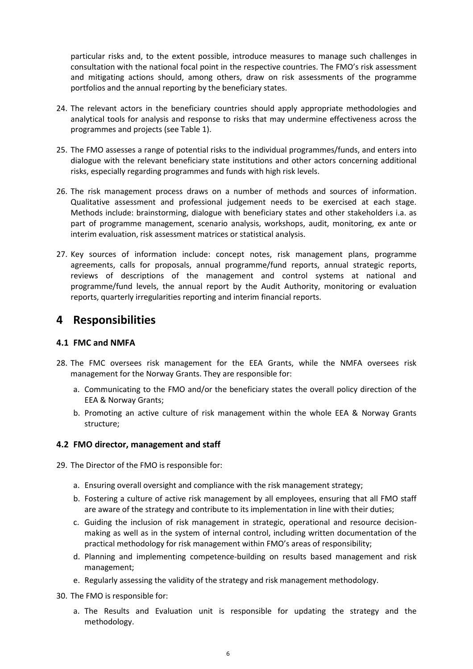particular risks and, to the extent possible, introduce measures to manage such challenges in consultation with the national focal point in the respective countries. The FMO's risk assessment and mitigating actions should, among others, draw on risk assessments of the programme portfolios and the annual reporting by the beneficiary states.

- 24. The relevant actors in the beneficiary countries should apply appropriate methodologies and analytical tools for analysis and response to risks that may undermine effectiveness across the programmes and projects (see Table 1).
- 25. The FMO assesses a range of potential risks to the individual programmes/funds, and enters into dialogue with the relevant beneficiary state institutions and other actors concerning additional risks, especially regarding programmes and funds with high risk levels.
- 26. The risk management process draws on a number of methods and sources of information. Qualitative assessment and professional judgement needs to be exercised at each stage. Methods include: brainstorming, dialogue with beneficiary states and other stakeholders i.a. as part of programme management, scenario analysis, workshops, audit, monitoring, ex ante or interim evaluation, risk assessment matrices or statistical analysis.
- 27. Key sources of information include: concept notes, risk management plans, programme agreements, calls for proposals, annual programme/fund reports, annual strategic reports, reviews of descriptions of the management and control systems at national and programme/fund levels, the annual report by the Audit Authority, monitoring or evaluation reports, quarterly irregularities reporting and interim financial reports.

## <span id="page-5-0"></span>**4 Responsibilities**

#### <span id="page-5-1"></span>**4.1 FMC and NMFA**

- 28. The FMC oversees risk management for the EEA Grants, while the NMFA oversees risk management for the Norway Grants. They are responsible for:
	- a. Communicating to the FMO and/or the beneficiary states the overall policy direction of the EEA & Norway Grants;
	- b. Promoting an active culture of risk management within the whole EEA & Norway Grants structure;

#### <span id="page-5-2"></span>**4.2 FMO director, management and staff**

- 29. The Director of the FMO is responsible for:
	- a. Ensuring overall oversight and compliance with the risk management strategy;
	- b. Fostering a culture of active risk management by all employees, ensuring that all FMO staff are aware of the strategy and contribute to its implementation in line with their duties;
	- c. Guiding the inclusion of risk management in strategic, operational and resource decisionmaking as well as in the system of internal control, including written documentation of the practical methodology for risk management within FMO's areas of responsibility;
	- d. Planning and implementing competence-building on results based management and risk management;
	- e. Regularly assessing the validity of the strategy and risk management methodology.
- 30. The FMO is responsible for:
	- a. The Results and Evaluation unit is responsible for updating the strategy and the methodology.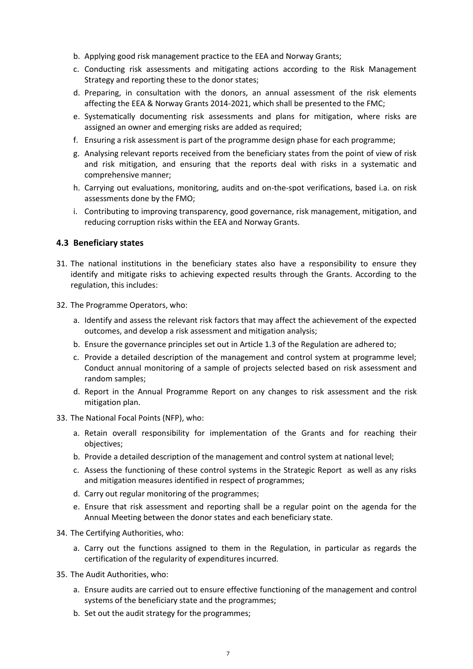- b. Applying good risk management practice to the EEA and Norway Grants;
- c. Conducting risk assessments and mitigating actions according to the Risk Management Strategy and reporting these to the donor states;
- d. Preparing, in consultation with the donors, an annual assessment of the risk elements affecting the EEA & Norway Grants 2014-2021, which shall be presented to the FMC;
- e. Systematically documenting risk assessments and plans for mitigation, where risks are assigned an owner and emerging risks are added as required;
- f. Ensuring a risk assessment is part of the programme design phase for each programme;
- g. Analysing relevant reports received from the beneficiary states from the point of view of risk and risk mitigation, and ensuring that the reports deal with risks in a systematic and comprehensive manner;
- h. Carrying out evaluations, monitoring, audits and on-the-spot verifications, based i.a. on risk assessments done by the FMO;
- i. Contributing to improving transparency, good governance, risk management, mitigation, and reducing corruption risks within the EEA and Norway Grants.

#### <span id="page-6-0"></span>**4.3 Beneficiary states**

- 31. The national institutions in the beneficiary states also have a responsibility to ensure they identify and mitigate risks to achieving expected results through the Grants. According to the regulation, this includes:
- 32. The Programme Operators, who:
	- a. Identify and assess the relevant risk factors that may affect the achievement of the expected outcomes, and develop a risk assessment and mitigation analysis;
	- b. Ensure the governance principles set out in Article 1.3 of the Regulation are adhered to;
	- c. Provide a detailed description of the management and control system at programme level; Conduct annual monitoring of a sample of projects selected based on risk assessment and random samples;
	- d. Report in the Annual Programme Report on any changes to risk assessment and the risk mitigation plan.
- 33. The National Focal Points (NFP), who:
	- a. Retain overall responsibility for implementation of the Grants and for reaching their objectives;
	- b. Provide a detailed description of the management and control system at national level;
	- c. Assess the functioning of these control systems in the Strategic Report as well as any risks and mitigation measures identified in respect of programmes;
	- d. Carry out regular monitoring of the programmes;
	- e. Ensure that risk assessment and reporting shall be a regular point on the agenda for the Annual Meeting between the donor states and each beneficiary state.
- 34. The Certifying Authorities, who:
	- a. Carry out the functions assigned to them in the Regulation, in particular as regards the certification of the regularity of expenditures incurred.
- 35. The Audit Authorities, who:
	- a. Ensure audits are carried out to ensure effective functioning of the management and control systems of the beneficiary state and the programmes;
	- b. Set out the audit strategy for the programmes;